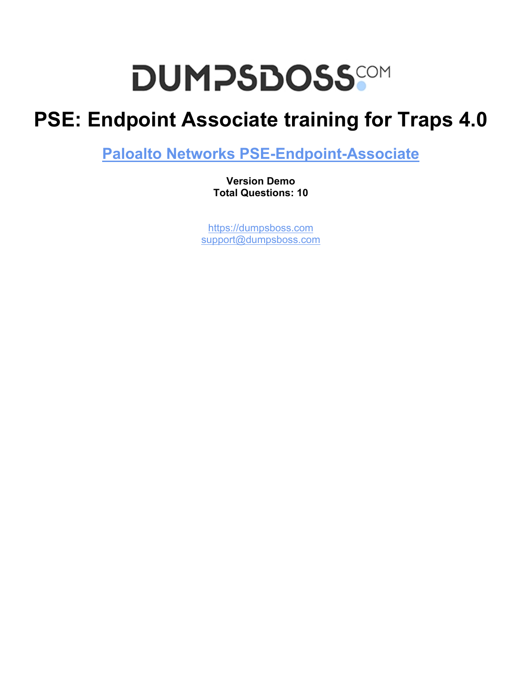# **DUMPSDOSS**

## **PSE: Endpoint Associate training for Traps 4.0**

**[Paloalto Networks PSE-Endpoint-Associate](https://dumpsboss.com/paloalto-networks-exam/pse-endpoint-associate/)**

**Version Demo Total Questions: 10**

[https://dumpsboss.com](https://dumpsboss.com/) [support@dumpsboss.com](mailto:support@dumpsboss.com)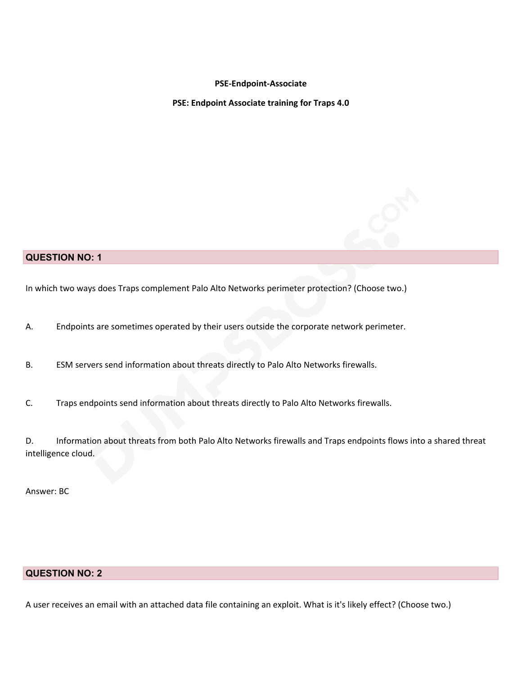#### **PSE-Endpoint-Associate**

**PSE: Endpoint Associate training for Traps 4.0**

#### **QUESTION NO: 1**

In which two ways does Traps complement Palo Alto Networks perimeter protection? (Choose two.)

A. Endpoints are sometimes operated by their users outside the corporate network perimeter.

B. ESM servers send information about threats directly to Palo Alto Networks firewalls.

C. Traps endpoints send information about threats directly to Palo Alto Networks firewalls.

D. Information about threats from both Palo Alto Networks firewalls and Traps endpoints flows into a shared threat intelligence cloud.

Answer: BC

### **QUESTION NO: 2**

A user receives an email with an attached data file containing an exploit. What is it's likely effect? (Choose two.)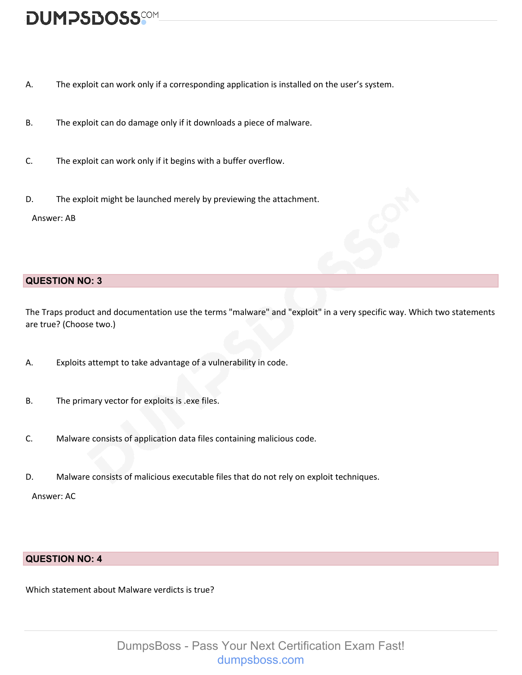### **DUMPSDOSS**COM

- A. The exploit can work only if a corresponding application is installed on the user's system.
- B. The exploit can do damage only if it downloads a piece of malware.
- C. The exploit can work only if it begins with a buffer overflow.
- D. The exploit might be launched merely by previewing the attachment.

Answer: AB

### **QUESTION NO: 3**

The Traps product and documentation use the terms "malware" and "exploit" in a very specific way. Which two statements are true? (Choose two.)

- A. Exploits attempt to take advantage of a vulnerability in code.
- B. The primary vector for exploits is .exe files.
- C. Malware consists of application data files containing malicious code.
- D. Malware consists of malicious executable files that do not rely on exploit techniques.

Answer: AC

### **QUESTION NO: 4**

Which statement about Malware verdicts is true?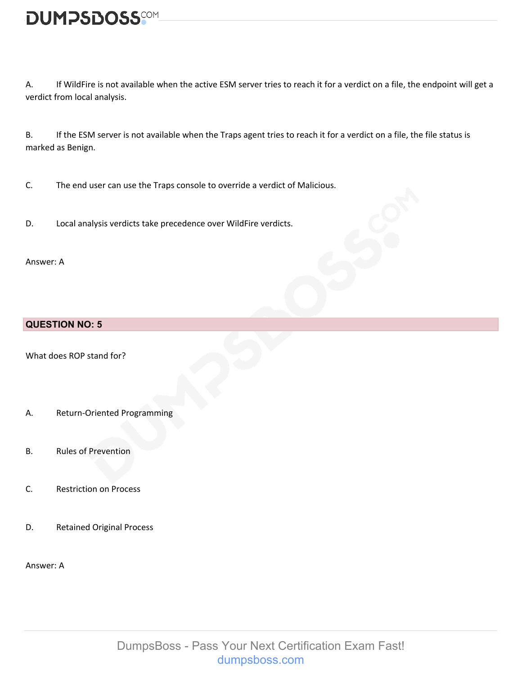A. If WildFire is not available when the active ESM server tries to reach it for a verdict on a file, the endpoint will get a verdict from local analysis.

B. If the ESM server is not available when the Traps agent tries to reach it for a verdict on a file, the file status is marked as Benign.

C. The end user can use the Traps console to override a verdict of Malicious.

D. Local analysis verdicts take precedence over WildFire verdicts.

Answer: A

### **QUESTION NO: 5**

What does ROP stand for?

- A. Return-Oriented Programming
- B. Rules of Prevention
- C. Restriction on Process
- D. Retained Original Process

Answer: A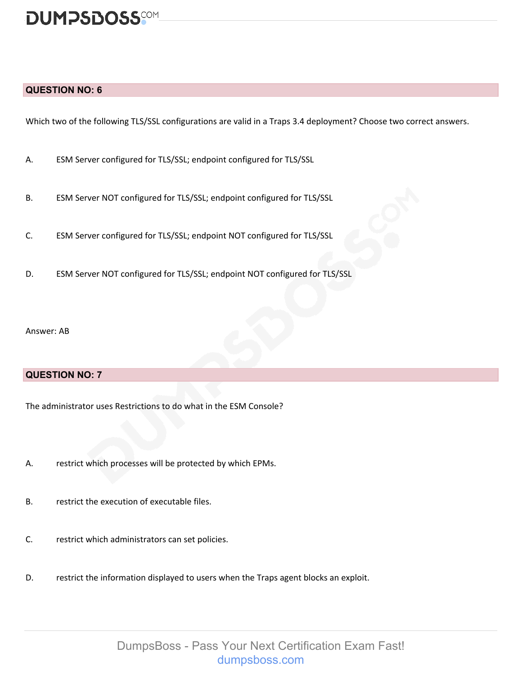### **DUMPSDOSS**SOM

#### **QUESTION NO: 6**

Which two of the following TLS/SSL configurations are valid in a Traps 3.4 deployment? Choose two correct answers.

- A. ESM Server configured for TLS/SSL; endpoint configured for TLS/SSL
- B. ESM Server NOT configured for TLS/SSL; endpoint configured for TLS/SSL
- C. ESM Server configured for TLS/SSL; endpoint NOT configured for TLS/SSL
- D. ESM Server NOT configured for TLS/SSL; endpoint NOT configured for TLS/SSL

Answer: AB

### **QUESTION NO: 7**

The administrator uses Restrictions to do what in the ESM Console?

- A. restrict which processes will be protected by which EPMs.
- B. restrict the execution of executable files.
- C. restrict which administrators can set policies.
- D. restrict the information displayed to users when the Traps agent blocks an exploit.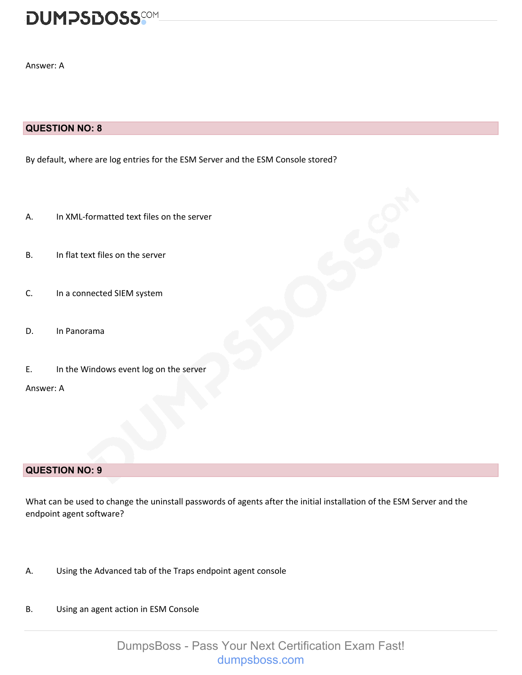### **DUMPSDOSS**SOM

Answer: A

### **QUESTION NO: 8**

By default, where are log entries for the ESM Server and the ESM Console stored?

- A. In XML-formatted text files on the server
- B. In flat text files on the server
- C. In a connected SIEM system
- D. In Panorama
- E. In the Windows event log on the server

Answer: A

### **QUESTION NO: 9**

What can be used to change the uninstall passwords of agents after the initial installation of the ESM Server and the endpoint agent software?

- A. Using the Advanced tab of the Traps endpoint agent console
- B. Using an agent action in ESM Console